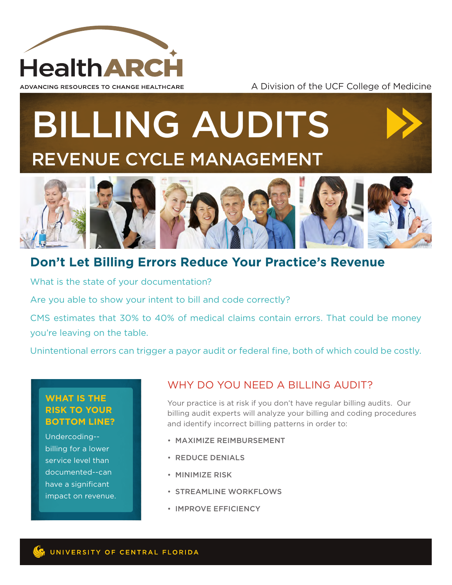

#### A Division of the UCF College of Medicine

# BILLING AUDITS REVENUE CYCLE MANAGEMENT



## **Don't Let Billing Errors Reduce Your Practice's Revenue**

What is the state of your documentation?

Are you able to show your intent to bill and code correctly?

CMS estimates that 30% to 40% of medical claims contain errors. That could be money you're leaving on the table.

Unintentional errors can trigger a payor audit or federal fine, both of which could be costly.

### **WHAT IS THE RISK TO YOUR BOTTOM LINE?**

Undercoding- billing for a lower service level than documented--can have a significant impact on revenue.

## WHY DO YOU NEED A BILLING AUDIT?

Your practice is at risk if you don't have regular billing audits. Our billing audit experts will analyze your billing and coding procedures and identify incorrect billing patterns in order to:

- MAXIMIZE REIMBURSEMENT
- REDUCE DENIALS
- MINIMIZE RISK
- STREAMLINE WORKFLOWS
- IMPROVE EFFICIENCY